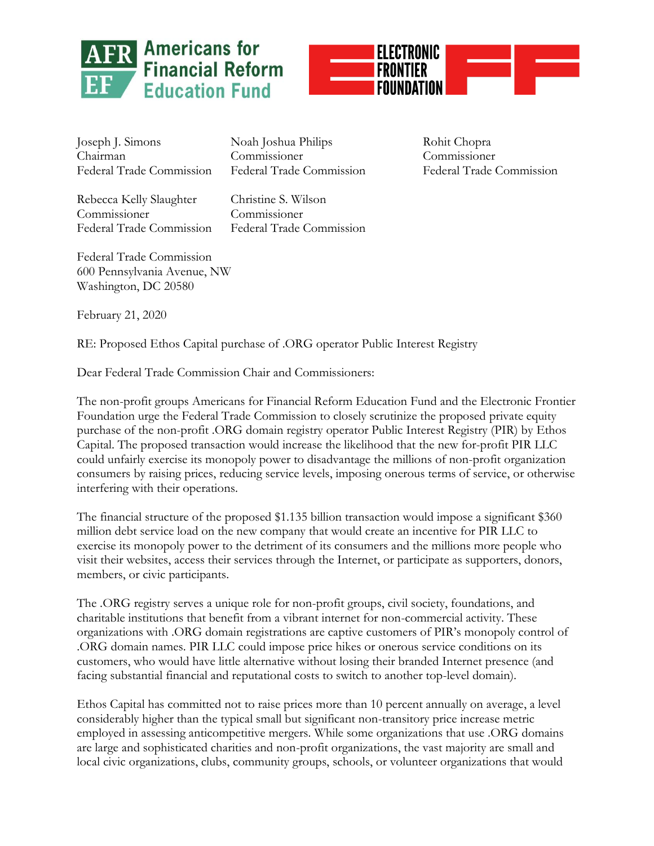



Joseph J. Simons Noah Joshua Philips Rohit Chopra Chairman Commissioner Commissioner Federal Trade Commission Federal Trade Commission Federal Trade Commission

Rebecca Kelly Slaughter Christine S. Wilson Commissioner Commissioner

Federal Trade Commission Federal Trade Commission

Federal Trade Commission 600 Pennsylvania Avenue, NW Washington, DC 20580

February 21, 2020

RE: Proposed Ethos Capital purchase of .ORG operator Public Interest Registry

Dear Federal Trade Commission Chair and Commissioners:

The non-profit groups Americans for Financial Reform Education Fund and the Electronic Frontier Foundation urge the Federal Trade Commission to closely scrutinize the proposed private equity purchase of the non-profit .ORG domain registry operator Public Interest Registry (PIR) by Ethos Capital. The proposed transaction would increase the likelihood that the new for-profit PIR LLC could unfairly exercise its monopoly power to disadvantage the millions of non-profit organization consumers by raising prices, reducing service levels, imposing onerous terms of service, or otherwise interfering with their operations.

The financial structure of the proposed \$1.135 billion transaction would impose a significant \$360 million debt service load on the new company that would create an incentive for PIR LLC to exercise its monopoly power to the detriment of its consumers and the millions more people who visit their websites, access their services through the Internet, or participate as supporters, donors, members, or civic participants.

The .ORG registry serves a unique role for non-profit groups, civil society, foundations, and charitable institutions that benefit from a vibrant internet for non-commercial activity. These organizations with .ORG domain registrations are captive customers of PIR's monopoly control of .ORG domain names. PIR LLC could impose price hikes or onerous service conditions on its customers, who would have little alternative without losing their branded Internet presence (and facing substantial financial and reputational costs to switch to another top-level domain).

Ethos Capital has committed not to raise prices more than 10 percent annually on average, a level considerably higher than the typical small but significant non-transitory price increase metric employed in assessing anticompetitive mergers. While some organizations that use .ORG domains are large and sophisticated charities and non-profit organizations, the vast majority are small and local civic organizations, clubs, community groups, schools, or volunteer organizations that would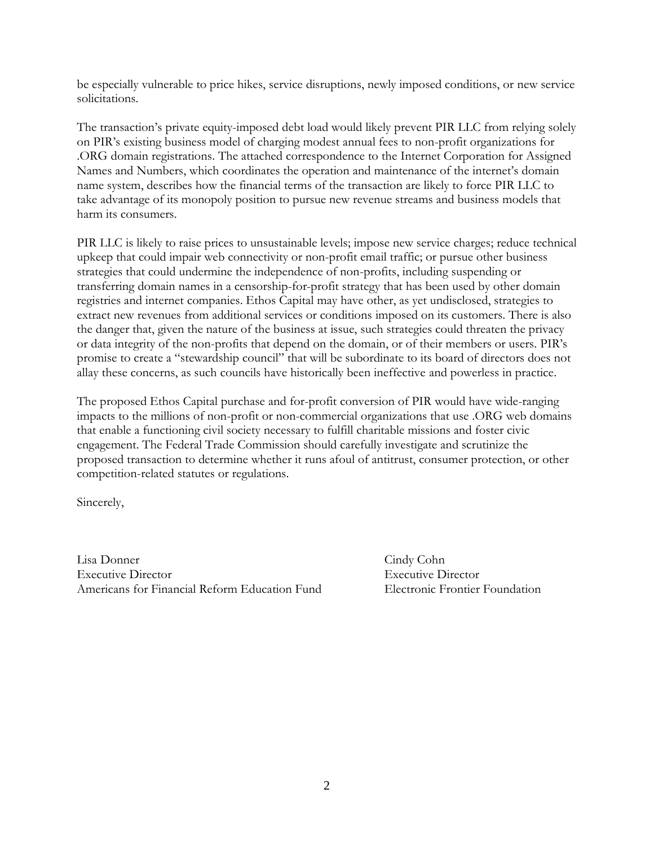be especially vulnerable to price hikes, service disruptions, newly imposed conditions, or new service solicitations.

The transaction's private equity-imposed debt load would likely prevent PIR LLC from relying solely on PIR's existing business model of charging modest annual fees to non-profit organizations for .ORG domain registrations. The attached correspondence to the Internet Corporation for Assigned Names and Numbers, which coordinates the operation and maintenance of the internet's domain name system, describes how the financial terms of the transaction are likely to force PIR LLC to take advantage of its monopoly position to pursue new revenue streams and business models that harm its consumers.

PIR LLC is likely to raise prices to unsustainable levels; impose new service charges; reduce technical upkeep that could impair web connectivity or non-profit email traffic; or pursue other business strategies that could undermine the independence of non-profits, including suspending or transferring domain names in a censorship-for-profit strategy that has been used by other domain registries and internet companies. Ethos Capital may have other, as yet undisclosed, strategies to extract new revenues from additional services or conditions imposed on its customers. There is also the danger that, given the nature of the business at issue, such strategies could threaten the privacy or data integrity of the non-profits that depend on the domain, or of their members or users. PIR's promise to create a "stewardship council" that will be subordinate to its board of directors does not allay these concerns, as such councils have historically been ineffective and powerless in practice.

The proposed Ethos Capital purchase and for-profit conversion of PIR would have wide-ranging impacts to the millions of non-profit or non-commercial organizations that use .ORG web domains that enable a functioning civil society necessary to fulfill charitable missions and foster civic engagement. The Federal Trade Commission should carefully investigate and scrutinize the proposed transaction to determine whether it runs afoul of antitrust, consumer protection, or other competition-related statutes or regulations.

Sincerely,

Lisa Donner Cindy Cohn Executive Director Executive Director Americans for Financial Reform Education Fund Electronic Frontier Foundation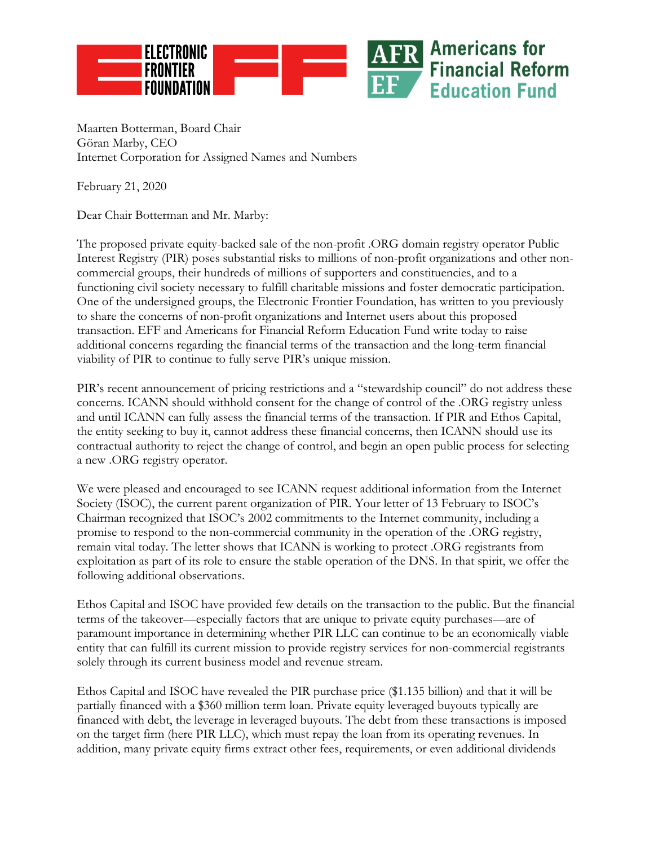

Maarten Botterman, Board Chair Göran Marby, CEO Internet Corporation for Assigned Names and Numbers

February 21, 2020

Dear Chair Botterman and Mr. Marby:

The proposed private equity-backed sale of the non-profit .ORG domain registry operator Public Interest Registry (PIR) poses substantial risks to millions of non-profit organizations and other noncommercial groups, their hundreds of millions of supporters and constituencies, and to a functioning civil society necessary to fulfill charitable missions and foster democratic participation. One of the undersigned groups, the Electronic Frontier Foundation, has written to you previously to share the concerns of non-profit organizations and Internet users about this proposed transaction. EFF and Americans for Financial Reform Education Fund write today to raise additional concerns regarding the financial terms of the transaction and the long-term financial viability of PIR to continue to fully serve PIR's unique mission.

PIR's recent announcement of pricing restrictions and a "stewardship council" do not address these concerns. ICANN should withhold consent for the change of control of the .ORG registry unless and until ICANN can fully assess the financial terms of the transaction. If PIR and Ethos Capital, the entity seeking to buy it, cannot address these financial concerns, then ICANN should use its contractual authority to reject the change of control, and begin an open public process for selecting a new .ORG registry operator.

We were pleased and encouraged to see ICANN request additional information from the Internet Society (ISOC), the current parent organization of PIR. Your letter of 13 February to ISOC's Chairman recognized that ISOC's 2002 commitments to the Internet community, including a promise to respond to the non-commercial community in the operation of the .ORG registry, remain vital today. The letter shows that ICANN is working to protect .ORG registrants from exploitation as part of its role to ensure the stable operation of the DNS. In that spirit, we offer the following additional observations.

Ethos Capital and ISOC have provided few details on the transaction to the public. But the financial terms of the takeover—especially factors that are unique to private equity purchases—are of paramount importance in determining whether PIR LLC can continue to be an economically viable entity that can fulfill its current mission to provide registry services for non-commercial registrants solely through its current business model and revenue stream.

Ethos Capital and ISOC have revealed the PIR purchase price (\$1.135 billion) and that it will be partially financed with a \$360 million term loan. Private equity leveraged buyouts typically are financed with debt, the leverage in leveraged buyouts. The debt from these transactions is imposed on the target firm (here PIR LLC), which must repay the loan from its operating revenues. In addition, many private equity firms extract other fees, requirements, or even additional dividends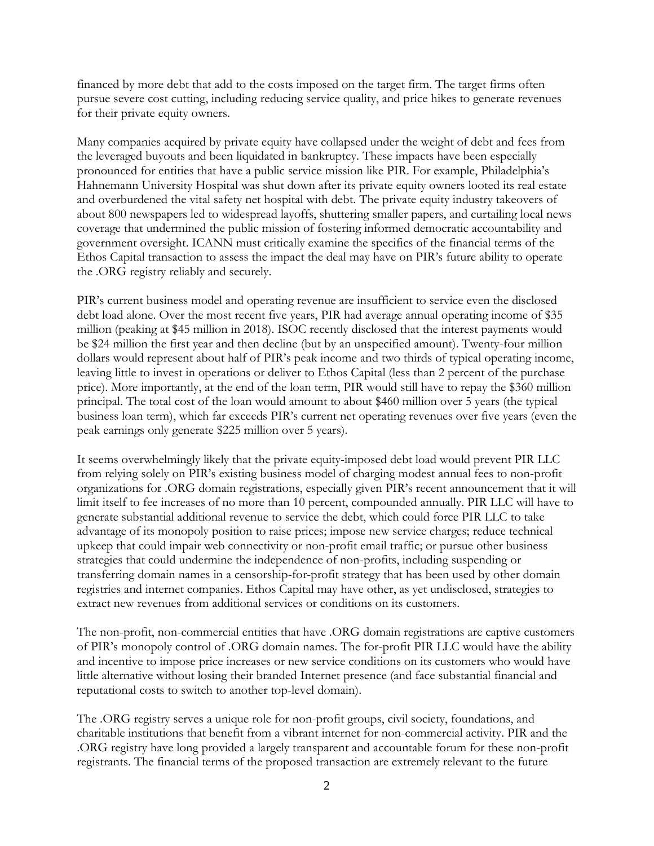financed by more debt that add to the costs imposed on the target firm. The target firms often pursue severe cost cutting, including reducing service quality, and price hikes to generate revenues for their private equity owners.

Many companies acquired by private equity have collapsed under the weight of debt and fees from the leveraged buyouts and been liquidated in bankruptcy. These impacts have been especially pronounced for entities that have a public service mission like PIR. For example, Philadelphia's Hahnemann University Hospital was shut down after its private equity owners looted its real estate and overburdened the vital safety net hospital with debt. The private equity industry takeovers of about 800 newspapers led to widespread layoffs, shuttering smaller papers, and curtailing local news coverage that undermined the public mission of fostering informed democratic accountability and government oversight. ICANN must critically examine the specifics of the financial terms of the Ethos Capital transaction to assess the impact the deal may have on PIR's future ability to operate the .ORG registry reliably and securely.

PIR's current business model and operating revenue are insufficient to service even the disclosed debt load alone. Over the most recent five years, PIR had average annual operating income of \$35 million (peaking at \$45 million in 2018). ISOC recently disclosed that the interest payments would be \$24 million the first year and then decline (but by an unspecified amount). Twenty-four million dollars would represent about half of PIR's peak income and two thirds of typical operating income, leaving little to invest in operations or deliver to Ethos Capital (less than 2 percent of the purchase price). More importantly, at the end of the loan term, PIR would still have to repay the \$360 million principal. The total cost of the loan would amount to about \$460 million over 5 years (the typical business loan term), which far exceeds PIR's current net operating revenues over five years (even the peak earnings only generate \$225 million over 5 years).

It seems overwhelmingly likely that the private equity-imposed debt load would prevent PIR LLC from relying solely on PIR's existing business model of charging modest annual fees to non-profit organizations for .ORG domain registrations, especially given PIR's recent announcement that it will limit itself to fee increases of no more than 10 percent, compounded annually. PIR LLC will have to generate substantial additional revenue to service the debt, which could force PIR LLC to take advantage of its monopoly position to raise prices; impose new service charges; reduce technical upkeep that could impair web connectivity or non-profit email traffic; or pursue other business strategies that could undermine the independence of non-profits, including suspending or transferring domain names in a censorship-for-profit strategy that has been used by other domain registries and internet companies. Ethos Capital may have other, as yet undisclosed, strategies to extract new revenues from additional services or conditions on its customers.

The non-profit, non-commercial entities that have .ORG domain registrations are captive customers of PIR's monopoly control of .ORG domain names. The for-profit PIR LLC would have the ability and incentive to impose price increases or new service conditions on its customers who would have little alternative without losing their branded Internet presence (and face substantial financial and reputational costs to switch to another top-level domain).

The .ORG registry serves a unique role for non-profit groups, civil society, foundations, and charitable institutions that benefit from a vibrant internet for non-commercial activity. PIR and the .ORG registry have long provided a largely transparent and accountable forum for these non-profit registrants. The financial terms of the proposed transaction are extremely relevant to the future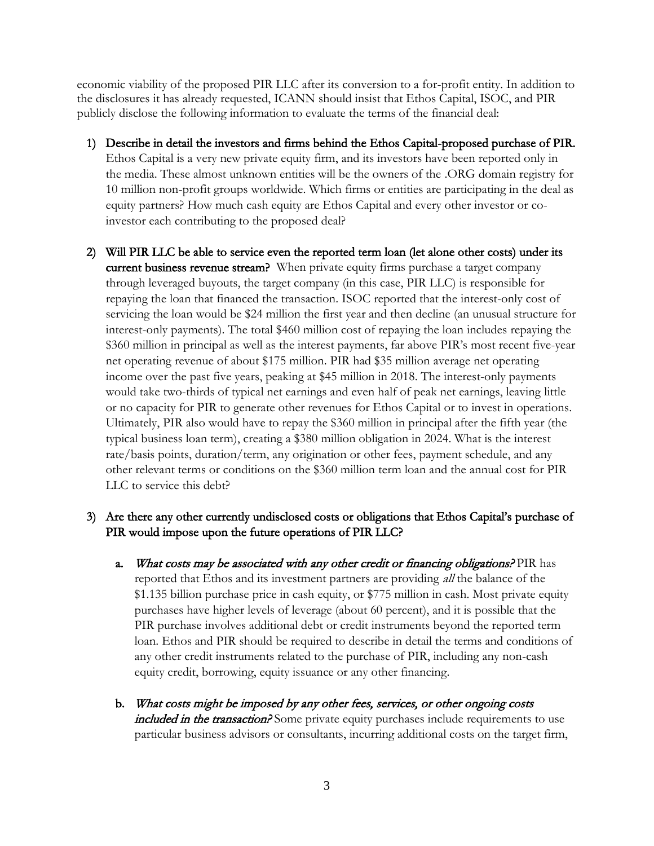economic viability of the proposed PIR LLC after its conversion to a for-profit entity. In addition to the disclosures it has already requested, ICANN should insist that Ethos Capital, ISOC, and PIR publicly disclose the following information to evaluate the terms of the financial deal:

- 1) Describe in detail the investors and firms behind the Ethos Capital-proposed purchase of PIR. Ethos Capital is a very new private equity firm, and its investors have been reported only in the media. These almost unknown entities will be the owners of the .ORG domain registry for 10 million non-profit groups worldwide. Which firms or entities are participating in the deal as equity partners? How much cash equity are Ethos Capital and every other investor or coinvestor each contributing to the proposed deal?
- 2) Will PIR LLC be able to service even the reported term loan (let alone other costs) under its current business revenue stream? When private equity firms purchase a target company through leveraged buyouts, the target company (in this case, PIR LLC) is responsible for repaying the loan that financed the transaction. ISOC reported that the interest-only cost of servicing the loan would be \$24 million the first year and then decline (an unusual structure for interest-only payments). The total \$460 million cost of repaying the loan includes repaying the \$360 million in principal as well as the interest payments, far above PIR's most recent five-year net operating revenue of about \$175 million. PIR had \$35 million average net operating income over the past five years, peaking at \$45 million in 2018. The interest-only payments would take two-thirds of typical net earnings and even half of peak net earnings, leaving little or no capacity for PIR to generate other revenues for Ethos Capital or to invest in operations. Ultimately, PIR also would have to repay the \$360 million in principal after the fifth year (the typical business loan term), creating a \$380 million obligation in 2024. What is the interest rate/basis points, duration/term, any origination or other fees, payment schedule, and any other relevant terms or conditions on the \$360 million term loan and the annual cost for PIR LLC to service this debt?

## 3) Are there any other currently undisclosed costs or obligations that Ethos Capital's purchase of PIR would impose upon the future operations of PIR LLC?

- a. What costs may be associated with any other credit or financing obligations? PIR has reported that Ethos and its investment partners are providing all the balance of the \$1.135 billion purchase price in cash equity, or \$775 million in cash. Most private equity purchases have higher levels of leverage (about 60 percent), and it is possible that the PIR purchase involves additional debt or credit instruments beyond the reported term loan. Ethos and PIR should be required to describe in detail the terms and conditions of any other credit instruments related to the purchase of PIR, including any non-cash equity credit, borrowing, equity issuance or any other financing.
- b. What costs might be imposed by any other fees, services, or other ongoing costs *included in the transaction?* Some private equity purchases include requirements to use particular business advisors or consultants, incurring additional costs on the target firm,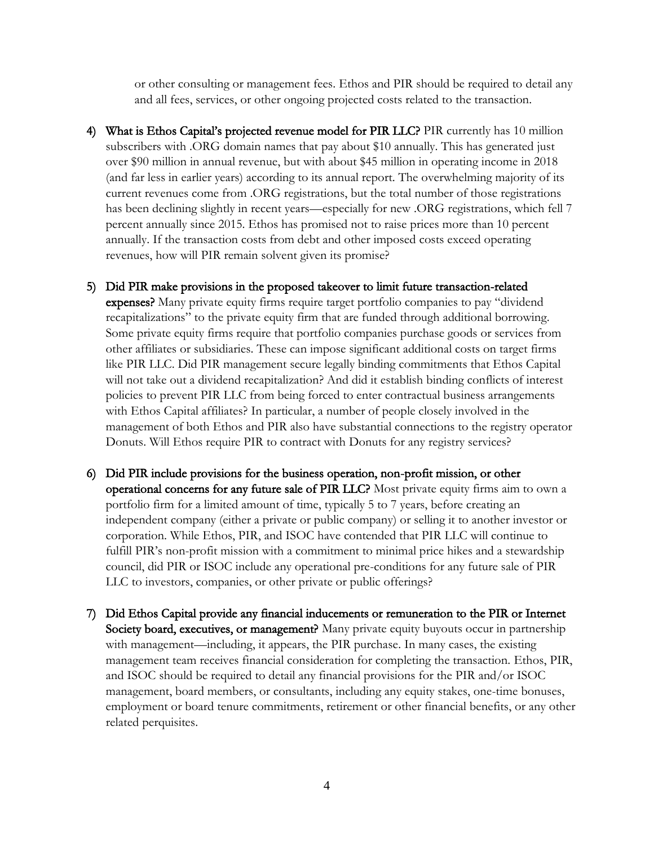or other consulting or management fees. Ethos and PIR should be required to detail any and all fees, services, or other ongoing projected costs related to the transaction.

- 4) What is Ethos Capital's projected revenue model for PIR LLC? PIR currently has 10 million subscribers with .ORG domain names that pay about \$10 annually. This has generated just over \$90 million in annual revenue, but with about \$45 million in operating income in 2018 (and far less in earlier years) according to its annual report. The overwhelming majority of its current revenues come from .ORG registrations, but the total number of those registrations has been declining slightly in recent years—especially for new .ORG registrations, which fell 7 percent annually since 2015. Ethos has promised not to raise prices more than 10 percent annually. If the transaction costs from debt and other imposed costs exceed operating revenues, how will PIR remain solvent given its promise?
- 5) Did PIR make provisions in the proposed takeover to limit future transaction-related expenses? Many private equity firms require target portfolio companies to pay "dividend recapitalizations" to the private equity firm that are funded through additional borrowing. Some private equity firms require that portfolio companies purchase goods or services from other affiliates or subsidiaries. These can impose significant additional costs on target firms like PIR LLC. Did PIR management secure legally binding commitments that Ethos Capital will not take out a dividend recapitalization? And did it establish binding conflicts of interest policies to prevent PIR LLC from being forced to enter contractual business arrangements with Ethos Capital affiliates? In particular, a number of people closely involved in the management of both Ethos and PIR also have substantial connections to the registry operator Donuts. Will Ethos require PIR to contract with Donuts for any registry services?
- 6) Did PIR include provisions for the business operation, non-profit mission, or other operational concerns for any future sale of PIR LLC? Most private equity firms aim to own a portfolio firm for a limited amount of time, typically 5 to 7 years, before creating an independent company (either a private or public company) or selling it to another investor or corporation. While Ethos, PIR, and ISOC have contended that PIR LLC will continue to fulfill PIR's non-profit mission with a commitment to minimal price hikes and a stewardship council, did PIR or ISOC include any operational pre-conditions for any future sale of PIR LLC to investors, companies, or other private or public offerings?
- 7) Did Ethos Capital provide any financial inducements or remuneration to the PIR or Internet Society board, executives, or management? Many private equity buyouts occur in partnership with management—including, it appears, the PIR purchase. In many cases, the existing management team receives financial consideration for completing the transaction. Ethos, PIR, and ISOC should be required to detail any financial provisions for the PIR and/or ISOC management, board members, or consultants, including any equity stakes, one-time bonuses, employment or board tenure commitments, retirement or other financial benefits, or any other related perquisites.